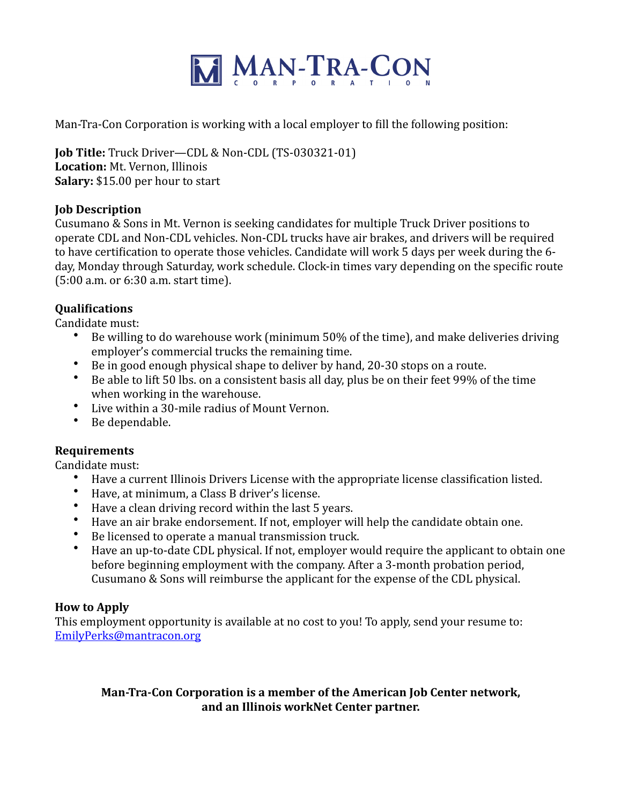

Man-Tra-Con Corporation is working with a local employer to fill the following position:

**Job Title:** Truck Driver—CDL & Non-CDL (TS-030321-01) Location: Mt. Vernon, Illinois **Salary:** \$15.00 per hour to start

## **Job Description**

Cusumano & Sons in Mt. Vernon is seeking candidates for multiple Truck Driver positions to operate CDL and Non-CDL vehicles. Non-CDL trucks have air brakes, and drivers will be required to have certification to operate those vehicles. Candidate will work 5 days per week during the 6day, Monday through Saturday, work schedule. Clock-in times vary depending on the specific route  $(5:00$  a.m. or  $6:30$  a.m. start time).

# **Qualifications**

Candidate must:

- Be willing to do warehouse work (minimum  $50\%$  of the time), and make deliveries driving employer's commercial trucks the remaining time.
- Be in good enough physical shape to deliver by hand, 20-30 stops on a route.
- Be able to lift 50 lbs. on a consistent basis all day, plus be on their feet 99% of the time when working in the warehouse.
- Live within a 30-mile radius of Mount Vernon.
- Be dependable.

# **Requirements**

Candidate must:

- Have a current Illinois Drivers License with the appropriate license classification listed.
- Have, at minimum, a Class B driver's license.
- Have a clean driving record within the last 5 years.
- Have an air brake endorsement. If not, employer will help the candidate obtain one.
- Be licensed to operate a manual transmission truck.
- Have an up-to-date CDL physical. If not, employer would require the applicant to obtain one before beginning employment with the company. After a 3-month probation period, Cusumano & Sons will reimburse the applicant for the expense of the CDL physical.

# **How to Apply**

This employment opportunity is available at no cost to you! To apply, send your resume to: [EmilyPerks@mantracon.org](mailto:EmilyPerks@mantracon.org)

# **Man-Tra-Con Corporation is a member of the American Job Center network,** and an Illinois workNet Center partner.